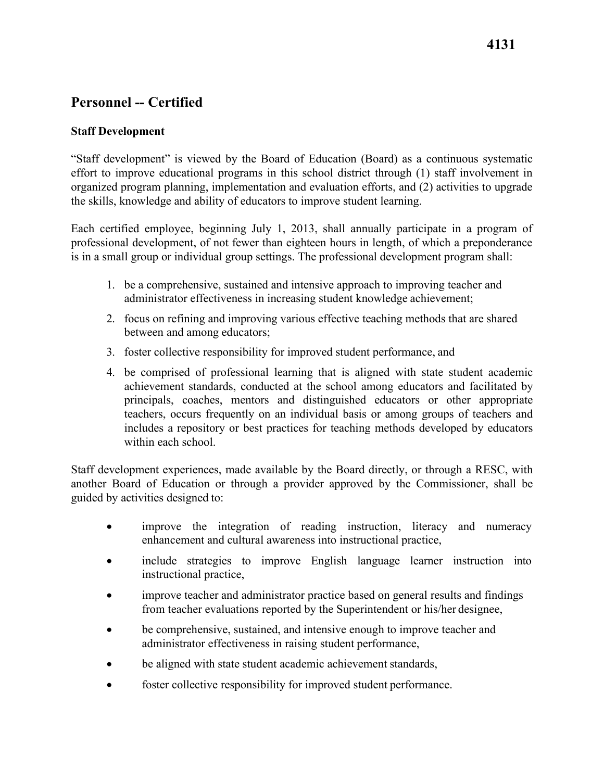### **Staff Development**

"Staff development" is viewed by the Board of Education (Board) as a continuous systematic effort to improve educational programs in this school district through (1) staff involvement in organized program planning, implementation and evaluation efforts, and (2) activities to upgrade the skills, knowledge and ability of educators to improve student learning.

Each certified employee, beginning July 1, 2013, shall annually participate in a program of professional development, of not fewer than eighteen hours in length, of which a preponderance is in a small group or individual group settings. The professional development program shall:

- 1. be a comprehensive, sustained and intensive approach to improving teacher and administrator effectiveness in increasing student knowledge achievement;
- between and among educators; 2. focus on refining and improving various effective teaching methods that are shared
- 3. foster collective responsibility for improved student performance, and
- principals, coaches, mentors and distinguished educators or other appropriate within each school. 4. be comprised of professional learning that is aligned with state student academic achievement standards, conducted at the school among educators and facilitated by teachers, occurs frequently on an individual basis or among groups of teachers and includes a repository or best practices for teaching methods developed by educators

 guided by activities designed to: Staff development experiences, made available by the Board directly, or through a RESC, with another Board of Education or through a provider approved by the Commissioner, shall be

- • improve the integration of reading instruction, literacy and numeracy enhancement and cultural awareness into instructional practice,
- • include strategies to improve English language learner instruction into instructional practice,
- from teacher evaluations reported by the Superintendent or his/her designee, • improve teacher and administrator practice based on general results and findings
- be comprehensive, sustained, and intensive enough to improve teacher and administrator effectiveness in raising student performance,
- be aligned with state student academic achievement standards,
- foster collective responsibility for improved student performance.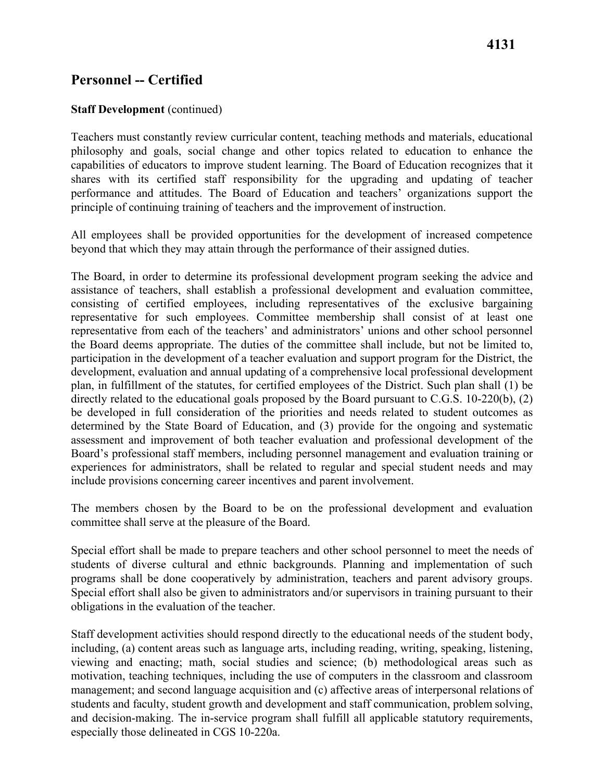#### **Staff Development** (continued)

 capabilities of educators to improve student learning. The Board of Education recognizes that it principle of continuing training of teachers and the improvement of instruction. Teachers must constantly review curricular content, teaching methods and materials, educational philosophy and goals, social change and other topics related to education to enhance the shares with its certified staff responsibility for the upgrading and updating of teacher performance and attitudes. The Board of Education and teachers' organizations support the

All employees shall be provided opportunities for the development of increased competence beyond that which they may attain through the performance of their assigned duties.

 The Board, in order to determine its professional development program seeking the advice and assistance of teachers, shall establish a professional development and evaluation committee, consisting of certified employees, including representatives of the exclusive bargaining representative for such employees. Committee membership shall consist of at least one representative from each of the teachers' and administrators' unions and other school personnel the Board deems appropriate. The duties of the committee shall include, but not be limited to, participation in the development of a teacher evaluation and support program for the District, the development, evaluation and annual updating of a comprehensive local professional development plan, in fulfillment of the statutes, for certified employees of the District. Such plan shall (1) be directly related to the educational goals proposed by the Board pursuant to C.G.S. 10-220(b), (2) be developed in full consideration of the priorities and needs related to student outcomes as determined by the State Board of Education, and (3) provide for the ongoing and systematic assessment and improvement of both teacher evaluation and professional development of the Board's professional staff members, including personnel management and evaluation training or experiences for administrators, shall be related to regular and special student needs and may include provisions concerning career incentives and parent involvement.

The members chosen by the Board to be on the professional development and evaluation committee shall serve at the pleasure of the Board.

Special effort shall be made to prepare teachers and other school personnel to meet the needs of students of diverse cultural and ethnic backgrounds. Planning and implementation of such programs shall be done cooperatively by administration, teachers and parent advisory groups. Special effort shall also be given to administrators and/or supervisors in training pursuant to their obligations in the evaluation of the teacher.

 students and faculty, student growth and development and staff communication, problem solving, especially those delineated in CGS 10-220a. Staff development activities should respond directly to the educational needs of the student body, including, (a) content areas such as language arts, including reading, writing, speaking, listening, viewing and enacting; math, social studies and science; (b) methodological areas such as motivation, teaching techniques, including the use of computers in the classroom and classroom management; and second language acquisition and (c) affective areas of interpersonal relations of and decision-making. The in-service program shall fulfill all applicable statutory requirements,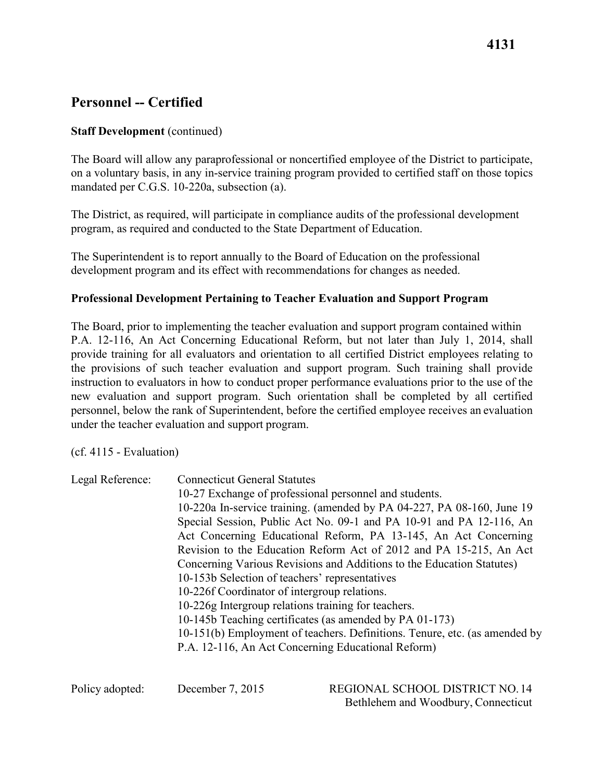#### **Staff Development** (continued)

The Board will allow any paraprofessional or noncertified employee of the District to participate, on a voluntary basis, in any in-service training program provided to certified staff on those topics mandated per C.G.S. 10-220a, subsection (a).

The District, as required, will participate in compliance audits of the professional development program, as required and conducted to the State Department of Education.

The Superintendent is to report annually to the Board of Education on the professional development program and its effect with recommendations for changes as needed.

#### **Professional Development Pertaining to Teacher Evaluation and Support Program**

 personnel, below the rank of Superintendent, before the certified employee receives an evaluation under the teacher evaluation and support program. The Board, prior to implementing the teacher evaluation and support program contained within P.A. 12-116, An Act Concerning Educational Reform, but not later than July 1, 2014, shall provide training for all evaluators and orientation to all certified District employees relating to the provisions of such teacher evaluation and support program. Such training shall provide instruction to evaluators in how to conduct proper performance evaluations prior to the use of the new evaluation and support program. Such orientation shall be completed by all certified

(cf. 4115 - Evaluation)

| Legal Reference: | <b>Connecticut General Statutes</b>                                        |
|------------------|----------------------------------------------------------------------------|
|                  | 10-27 Exchange of professional personnel and students.                     |
|                  | 10-220a In-service training. (amended by PA 04-227, PA 08-160, June 19     |
|                  | Special Session, Public Act No. 09-1 and PA 10-91 and PA 12-116, An        |
|                  | Act Concerning Educational Reform, PA 13-145, An Act Concerning            |
|                  | Revision to the Education Reform Act of 2012 and PA 15-215, An Act         |
|                  | Concerning Various Revisions and Additions to the Education Statutes)      |
|                  | 10-153b Selection of teachers' representatives                             |
|                  | 10-226f Coordinator of intergroup relations.                               |
|                  | 10-226g Intergroup relations training for teachers.                        |
|                  | 10-145b Teaching certificates (as amended by PA 01-173)                    |
|                  | 10-151(b) Employment of teachers. Definitions. Tenure, etc. (as amended by |
|                  | P.A. 12-116, An Act Concerning Educational Reform)                         |
|                  |                                                                            |

Policy adopted:

 Bethlehem and Woodbury, Connecticut December 7, 2015 REGIONAL SCHOOL DISTRICT NO.14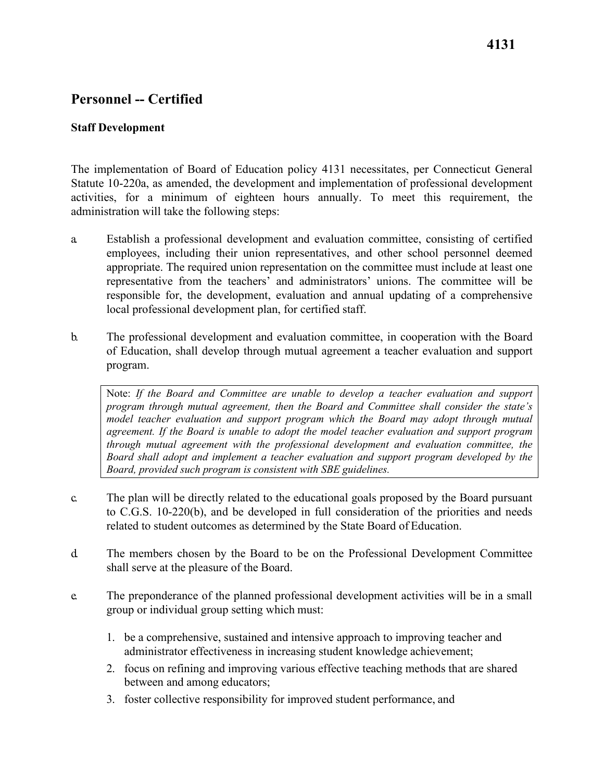#### **Staff Development**

The implementation of Board of Education policy 4131 necessitates, per Connecticut General Statute 10-220a, as amended, the development and implementation of professional development activities, for a minimum of eighteen hours annually. To meet this requirement, the administration will take the following steps:

- local professional development plan, for certified staff. a. Establish a professional development and evaluation committee, consisting of certified employees, including their union representatives, and other school personnel deemed appropriate. The required union representation on the committee must include at least one representative from the teachers' and administrators' unions. The committee will be responsible for, the development, evaluation and annual updating of a comprehensive
- b. The professional development and evaluation committee, in cooperation with the Board of Education, shall develop through mutual agreement a teacher evaluation and support program.

Note: If the Board and Committee are unable to develop a teacher evaluation and support model teacher evaluation and support program which the Board may adopt through mutual *program through mutual agreement, then the Board and Committee shall consider the state's agreement. If the Board is unable to adopt the model teacher evaluation and support program through mutual agreement with the professional development and evaluation committee, the Board shall adopt and implement a teacher evaluation and support program developed by the Board, provided such program is consistent with SBE guidelines.* 

- related to student outcomes as determined by the State Board of Education. c. The plan will be directly related to the educational goals proposed by the Board pursuant to C.G.S. 10-220(b), and be developed in full consideration of the priorities and needs
- shall serve at the pleasure of the Board. d. The members chosen by the Board to be on the Professional Development Committee
- group or individual group setting which must: e. The preponderance of the planned professional development activities will be in a small
	- 1. be a comprehensive, sustained and intensive approach to improving teacher and administrator effectiveness in increasing student knowledge achievement;
	- between and among educators; 2. focus on refining and improving various effective teaching methods that are shared
	- 3. foster collective responsibility for improved student performance, and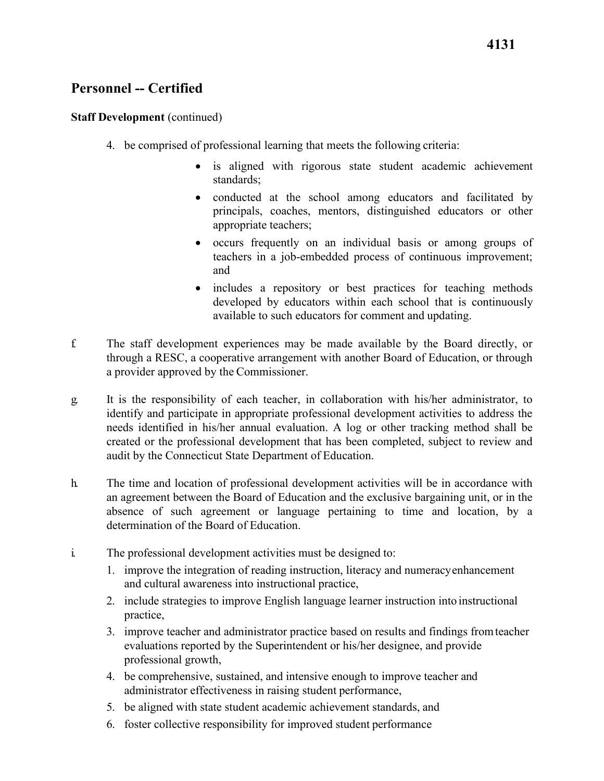### **Staff Development** (continued)

- 4. be comprised of professional learning that meets the following criteria:
	- is aligned with rigorous state student academic achievement standards;
	- appropriate teachers; • conducted at the school among educators and facilitated by principals, coaches, mentors, distinguished educators or other
	- occurs frequently on an individual basis or among groups of teachers in a job-embedded process of continuous improvement; and
	- available to such educators for comment and updating. • includes a repository or best practices for teaching methods developed by educators within each school that is continuously
- f. The staff development experiences may be made available by the Board directly, or through a RESC, a cooperative arrangement with another Board of Education, or through a provider approved by the Commissioner.
- created or the professional development that has been completed, subject to review and audit by the Connecticut State Department of Education. g. It is the responsibility of each teacher, in collaboration with his/her administrator, to identify and participate in appropriate professional development activities to address the needs identified in his/her annual evaluation. A log or other tracking method shall be
- determination of the Board of Education. h. The time and location of professional development activities will be in accordance with an agreement between the Board of Education and the exclusive bargaining unit, or in the absence of such agreement or language pertaining to time and location, by a
- i. The professional development activities must be designed to:
	- and cultural awareness into instructional practice, 1. improve the integration of reading instruction, literacy and numeracyenhancement
	- 2. include strategies to improve English language learner instruction into instructional practice,
	- professional growth, 3. improve teacher and administrator practice based on results and findings fromteacher evaluations reported by the Superintendent or his/her designee, and provide
	- 4. be comprehensive, sustained, and intensive enough to improve teacher and administrator effectiveness in raising student performance,
	- 5. be aligned with state student academic achievement standards, and
	- 6. foster collective responsibility for improved student performance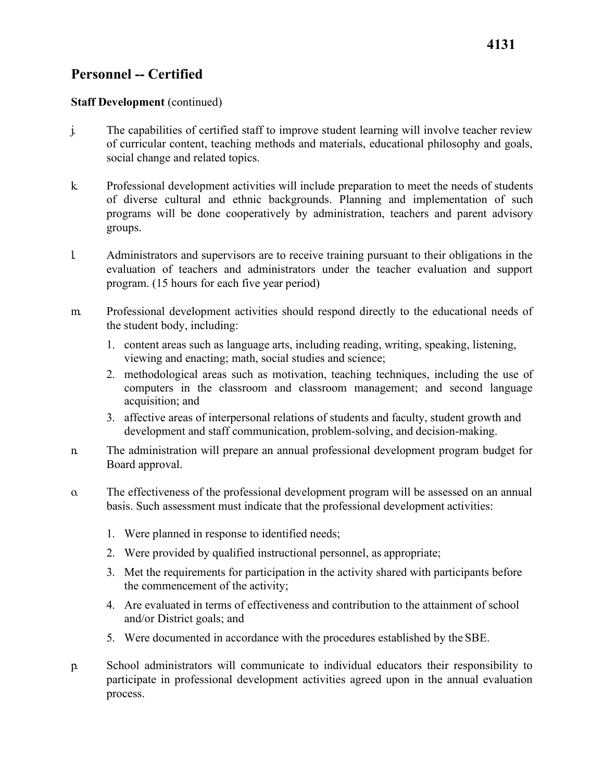### **Staff Development** (continued)

- social change and related topics. j. The capabilities of certified staff to improve student learning will involve teacher review of curricular content, teaching methods and materials, educational philosophy and goals,
- k. Professional development activities will include preparation to meet the needs of students of diverse cultural and ethnic backgrounds. Planning and implementation of such programs will be done cooperatively by administration, teachers and parent advisory groups.
- program. (15 hours for each five year period) l. Administrators and supervisors are to receive training pursuant to their obligations in the evaluation of teachers and administrators under the teacher evaluation and support
- the student body, including: m. Professional development activities should respond directly to the educational needs of
	- viewing and enacting; math, social studies and science; 1. content areas such as language arts, including reading, writing, speaking, listening,
	- acquisition; and 2. methodological areas such as motivation, teaching techniques, including the use of computers in the classroom and classroom management; and second language
	- 3. affective areas of interpersonal relations of students and faculty, student growth and development and staff communication, problem-solving, and decision-making.
- Board approval. n. The administration will prepare an annual professional development program budget for
- basis. Such assessment must indicate that the professional development activities: o. The effectiveness of the professional development program will be assessed on an annual
	- 1. Were planned in response to identified needs;
	- 2. Were provided by qualified instructional personnel, as appropriate;
	- the commencement of the activity; 3. Met the requirements for participation in the activity shared with participants before
	- and/or District goals; and 4. Are evaluated in terms of effectiveness and contribution to the attainment of school
	- 5. Were documented in accordance with the procedures established by the SBE.
- p. School administrators will communicate to individual educators their responsibility to participate in professional development activities agreed upon in the annual evaluation process.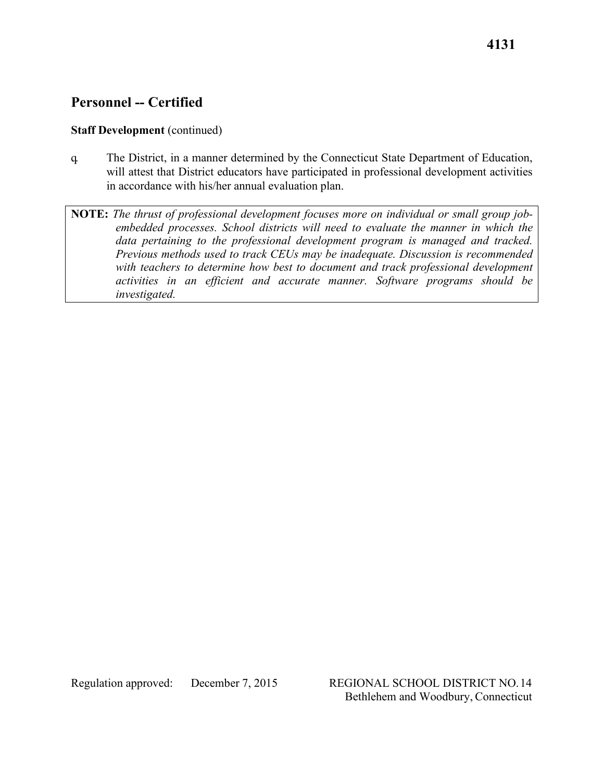### **Staff Development** (continued)

- in accordance with his/her annual evaluation plan. q. The District, in a manner determined by the Connecticut State Department of Education, will attest that District educators have participated in professional development activities
- **NOTE:** *The thrust of professional development focuses more on individual or small group jobembedded processes. School districts will need to evaluate the manner in which the data pertaining to the professional development program is managed and tracked. Previous methods used to track CEUs may be inadequate. Discussion is recommended*  with teachers to determine how best to document and track professional development *activities in an efficient and accurate manner. Software programs should be investigated.*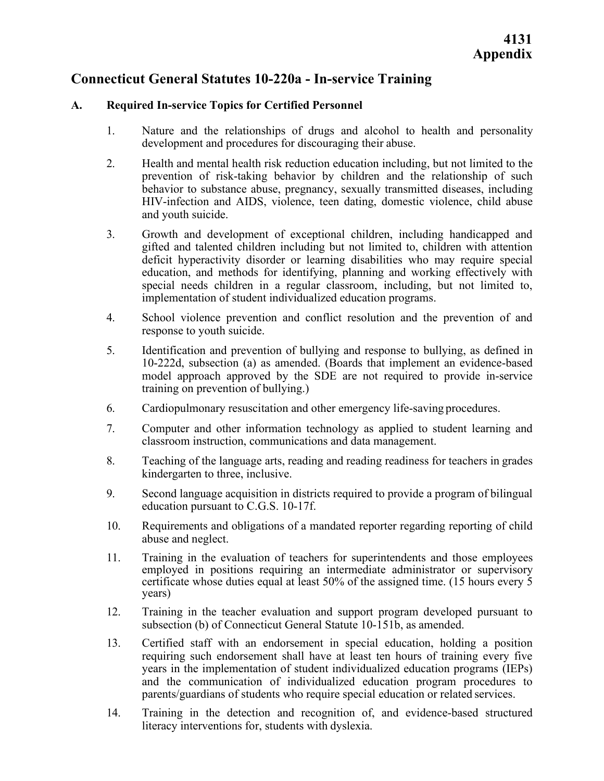### **Connecticut General Statutes 10-220a - In-service Training**

### **A. Required In-service Topics for Certified Personnel**

- development and procedures for discouraging their abuse. 1. Nature and the relationships of drugs and alcohol to health and personality
- and youth suicide. 2. Health and mental health risk reduction education including, but not limited to the prevention of risk-taking behavior by children and the relationship of such behavior to substance abuse, pregnancy, sexually transmitted diseases, including HIV-infection and AIDS, violence, teen dating, domestic violence, child abuse
- deficit hyperactivity disorder or learning disabilities who may require special implementation of student individualized education programs. 3. Growth and development of exceptional children, including handicapped and gifted and talented children including but not limited to, children with attention education, and methods for identifying, planning and working effectively with special needs children in a regular classroom, including, but not limited to,
- response to youth suicide. 4. School violence prevention and conflict resolution and the prevention of and
- training on prevention of bullying.) 5. Identification and prevention of bullying and response to bullying, as defined in 10-222d, subsection (a) as amended. (Boards that implement an evidence-based model approach approved by the SDE are not required to provide in-service
- 6. Cardiopulmonary resuscitation and other emergency life-saving procedures.
- 7. Computer and other information technology as applied to student learning and classroom instruction, communications and data management.
- kindergarten to three, inclusive. 8. Teaching of the language arts, reading and reading readiness for teachers in grades
- 9. Second language acquisition in districts required to provide a program of bilingual education pursuant to C.G.S. 10-17f.
- abuse and neglect. 10. Requirements and obligations of a mandated reporter regarding reporting of child
- 11. Training in the evaluation of teachers for superintendents and those employees employed in positions requiring an intermediate administrator or supervisory certificate whose duties equal at least 50% of the assigned time. (15 hours every 5 years)
- subsection (b) of Connecticut General Statute 10-151b, as amended. 12. Training in the teacher evaluation and support program developed pursuant to
- parents/guardians of students who require special education or related services. 13. Certified staff with an endorsement in special education, holding a position requiring such endorsement shall have at least ten hours of training every five years in the implementation of student individualized education programs (IEPs) and the communication of individualized education program procedures to
- literacy interventions for, students with dyslexia. 14. Training in the detection and recognition of, and evidence-based structured